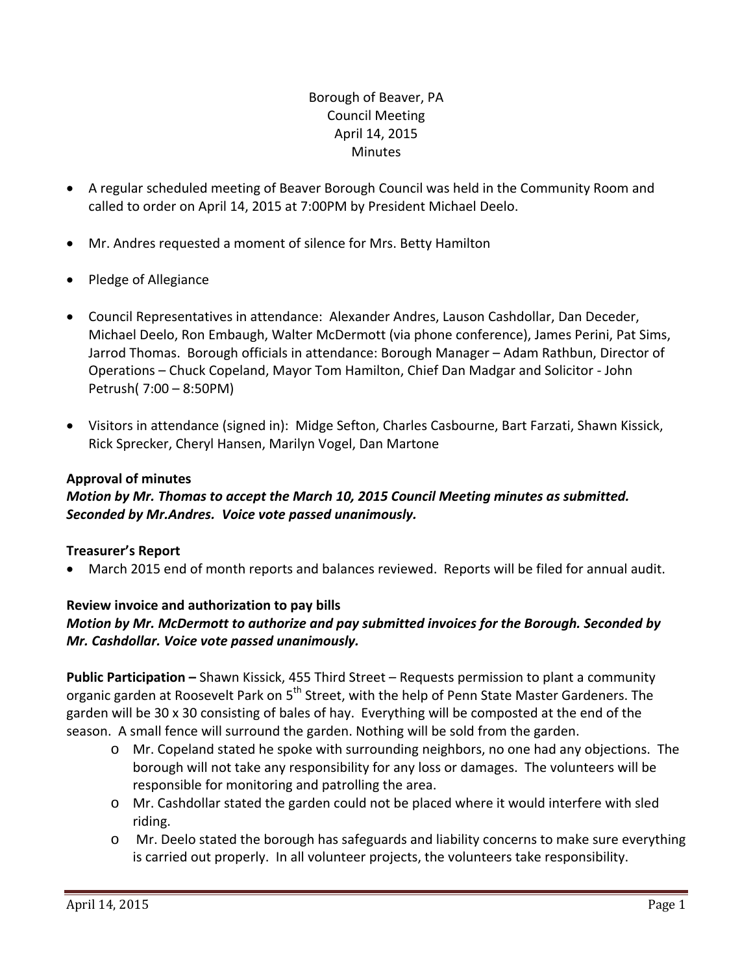## Borough of Beaver, PA Council Meeting April 14, 2015 **Minutes**

- A regular scheduled meeting of Beaver Borough Council was held in the Community Room and called to order on April 14, 2015 at 7:00PM by President Michael Deelo.
- Mr. Andres requested a moment of silence for Mrs. Betty Hamilton
- Pledge of Allegiance
- Council Representatives in attendance: Alexander Andres, Lauson Cashdollar, Dan Deceder, Michael Deelo, Ron Embaugh, Walter McDermott (via phone conference), James Perini, Pat Sims, Jarrod Thomas. Borough officials in attendance: Borough Manager – Adam Rathbun, Director of Operations – Chuck Copeland, Mayor Tom Hamilton, Chief Dan Madgar and Solicitor ‐ John Petrush( 7:00 – 8:50PM)
- Visitors in attendance (signed in): Midge Sefton, Charles Casbourne, Bart Farzati, Shawn Kissick, Rick Sprecker, Cheryl Hansen, Marilyn Vogel, Dan Martone

### **Approval of minutes**

*Motion by Mr. Thomas to accept the March 10, 2015 Council Meeting minutes as submitted. Seconded by Mr.Andres. Voice vote passed unanimously.* 

## **Treasurer's Report**

March 2015 end of month reports and balances reviewed. Reports will be filed for annual audit.

## **Review invoice and authorization to pay bills**

## *Motion by Mr. McDermott to authorize and pay submitted invoices for the Borough. Seconded by Mr. Cashdollar. Voice vote passed unanimously.*

**Public Participation –** Shawn Kissick, 455 Third Street – Requests permission to plant a community organic garden at Roosevelt Park on 5<sup>th</sup> Street, with the help of Penn State Master Gardeners. The garden will be 30 x 30 consisting of bales of hay. Everything will be composted at the end of the season. A small fence will surround the garden. Nothing will be sold from the garden.

- o Mr. Copeland stated he spoke with surrounding neighbors, no one had any objections. The borough will not take any responsibility for any loss or damages. The volunteers will be responsible for monitoring and patrolling the area.
- o Mr. Cashdollar stated the garden could not be placed where it would interfere with sled riding.
- o Mr. Deelo stated the borough has safeguards and liability concerns to make sure everything is carried out properly. In all volunteer projects, the volunteers take responsibility.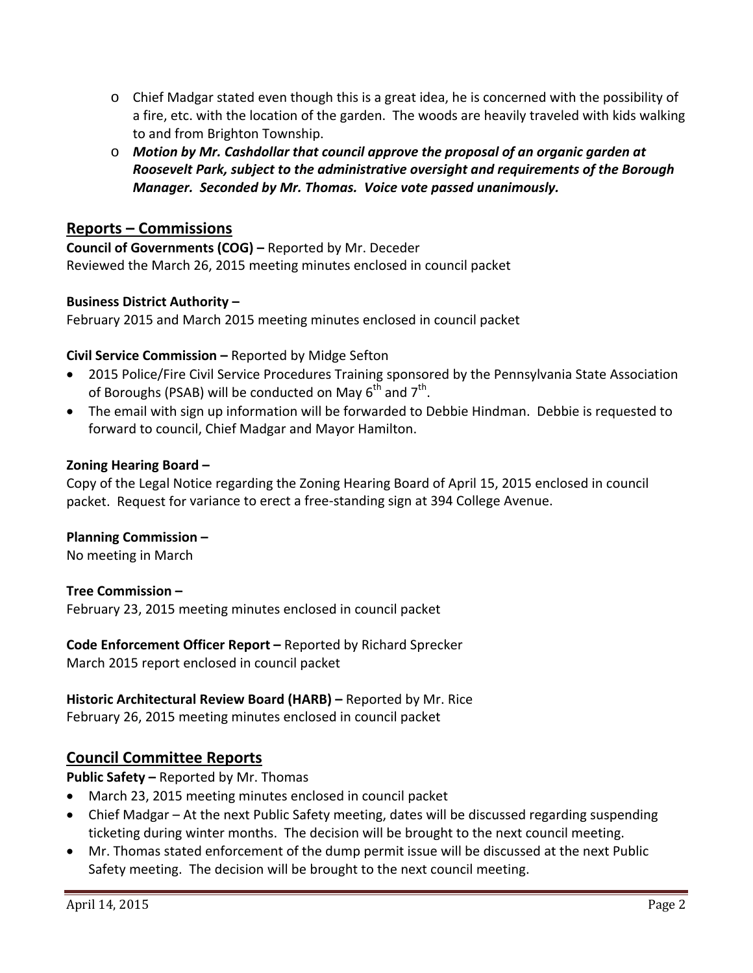- o Chief Madgar stated even though this is a great idea, he is concerned with the possibility of a fire, etc. with the location of the garden. The woods are heavily traveled with kids walking to and from Brighton Township.
- o *Motion by Mr. Cashdollar that council approve the proposal of an organic garden at Roosevelt Park, subject to the administrative oversight and requirements of the Borough Manager. Seconded by Mr. Thomas. Voice vote passed unanimously.*

# **Reports – Commissions**

**Council of Governments (COG) –** Reported by Mr. Deceder Reviewed the March 26, 2015 meeting minutes enclosed in council packet

### **Business District Authority –**

February 2015 and March 2015 meeting minutes enclosed in council packet

## **Civil Service Commission –** Reported by Midge Sefton

- 2015 Police/Fire Civil Service Procedures Training sponsored by the Pennsylvania State Association of Boroughs (PSAB) will be conducted on May  $6<sup>th</sup>$  and  $7<sup>th</sup>$ .
- The email with sign up information will be forwarded to Debbie Hindman. Debbie is requested to forward to council, Chief Madgar and Mayor Hamilton.

## **Zoning Hearing Board –**

Copy of the Legal Notice regarding the Zoning Hearing Board of April 15, 2015 enclosed in council packet. Request for variance to erect a free‐standing sign at 394 College Avenue.

### **Planning Commission –**

No meeting in March

**Tree Commission –** February 23, 2015 meeting minutes enclosed in council packet

**Code Enforcement Officer Report –** Reported by Richard Sprecker March 2015 report enclosed in council packet

**Historic Architectural Review Board (HARB) –** Reported by Mr. Rice February 26, 2015 meeting minutes enclosed in council packet

## **Council Committee Reports**

**Public Safety –** Reported by Mr. Thomas

- March 23, 2015 meeting minutes enclosed in council packet
- Chief Madgar At the next Public Safety meeting, dates will be discussed regarding suspending ticketing during winter months. The decision will be brought to the next council meeting.
- Mr. Thomas stated enforcement of the dump permit issue will be discussed at the next Public Safety meeting. The decision will be brought to the next council meeting.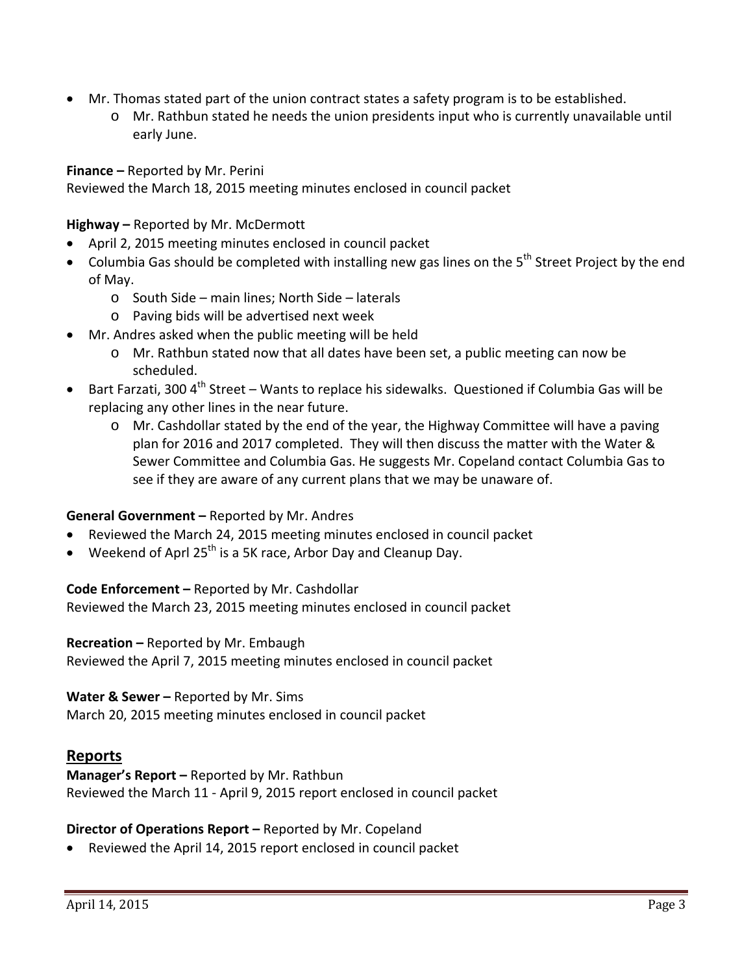- Mr. Thomas stated part of the union contract states a safety program is to be established.
	- o Mr. Rathbun stated he needs the union presidents input who is currently unavailable until early June.

**Finance –** Reported by Mr. Perini

Reviewed the March 18, 2015 meeting minutes enclosed in council packet

**Highway –** Reported by Mr. McDermott

- April 2, 2015 meeting minutes enclosed in council packet
- $\bullet$  Columbia Gas should be completed with installing new gas lines on the 5<sup>th</sup> Street Project by the end of May.
	- o South Side main lines; North Side laterals
	- o Paving bids will be advertised next week
- Mr. Andres asked when the public meeting will be held
	- o Mr. Rathbun stated now that all dates have been set, a public meeting can now be scheduled.
- Bart Farzati, 300  $4<sup>th</sup>$  Street Wants to replace his sidewalks. Questioned if Columbia Gas will be replacing any other lines in the near future.
	- o Mr. Cashdollar stated by the end of the year, the Highway Committee will have a paving plan for 2016 and 2017 completed. They will then discuss the matter with the Water & Sewer Committee and Columbia Gas. He suggests Mr. Copeland contact Columbia Gas to see if they are aware of any current plans that we may be unaware of.

### **General Government –** Reported by Mr. Andres

- Reviewed the March 24, 2015 meeting minutes enclosed in council packet
- Weekend of Aprl 25<sup>th</sup> is a 5K race, Arbor Day and Cleanup Day.

### **Code Enforcement –** Reported by Mr. Cashdollar

Reviewed the March 23, 2015 meeting minutes enclosed in council packet

#### **Recreation –** Reported by Mr. Embaugh

Reviewed the April 7, 2015 meeting minutes enclosed in council packet

#### **Water & Sewer –** Reported by Mr. Sims

March 20, 2015 meeting minutes enclosed in council packet

### **Reports**

**Manager's Report –** Reported by Mr. Rathbun Reviewed the March 11 ‐ April 9, 2015 report enclosed in council packet

### **Director of Operations Report –** Reported by Mr. Copeland

Reviewed the April 14, 2015 report enclosed in council packet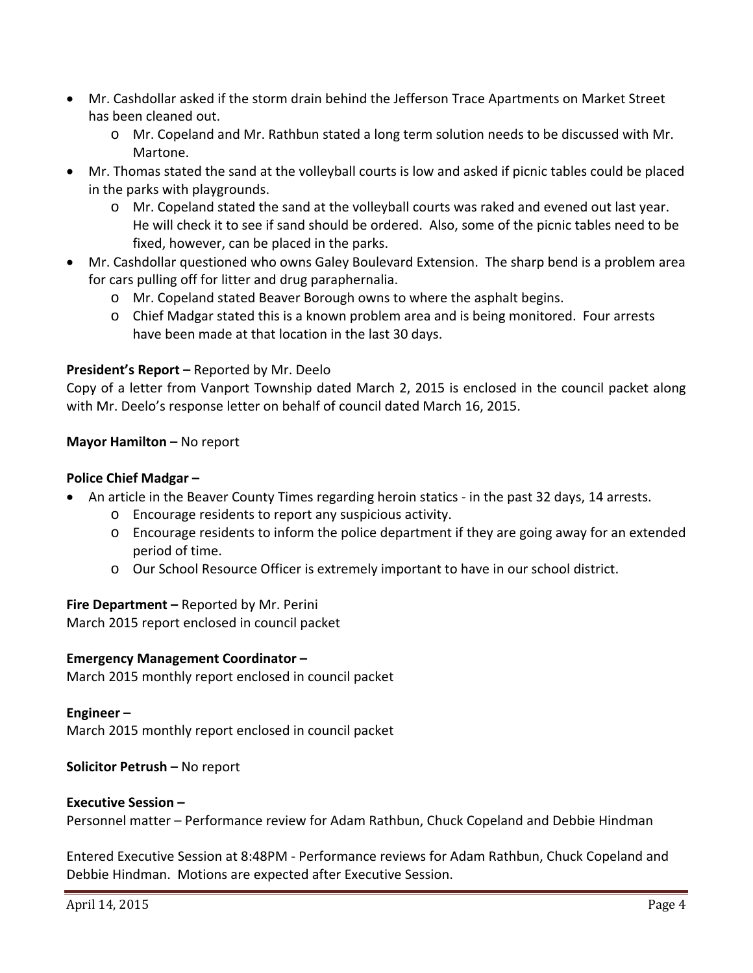- Mr. Cashdollar asked if the storm drain behind the Jefferson Trace Apartments on Market Street has been cleaned out.
	- o Mr. Copeland and Mr. Rathbun stated a long term solution needs to be discussed with Mr. Martone.
- Mr. Thomas stated the sand at the volleyball courts is low and asked if picnic tables could be placed in the parks with playgrounds.
	- o Mr. Copeland stated the sand at the volleyball courts was raked and evened out last year. He will check it to see if sand should be ordered. Also, some of the picnic tables need to be fixed, however, can be placed in the parks.
- Mr. Cashdollar questioned who owns Galey Boulevard Extension. The sharp bend is a problem area for cars pulling off for litter and drug paraphernalia.
	- o Mr. Copeland stated Beaver Borough owns to where the asphalt begins.
	- o Chief Madgar stated this is a known problem area and is being monitored. Four arrests have been made at that location in the last 30 days.

### **President's Report –** Reported by Mr. Deelo

Copy of a letter from Vanport Township dated March 2, 2015 is enclosed in the council packet along with Mr. Deelo's response letter on behalf of council dated March 16, 2015.

### **Mayor Hamilton –** No report

#### **Police Chief Madgar –**

- An article in the Beaver County Times regarding heroin statics in the past 32 days, 14 arrests.
	- o Encourage residents to report any suspicious activity.
	- o Encourage residents to inform the police department if they are going away for an extended period of time.
	- o Our School Resource Officer is extremely important to have in our school district.

#### **Fire Department –** Reported by Mr. Perini

March 2015 report enclosed in council packet

#### **Emergency Management Coordinator –**

March 2015 monthly report enclosed in council packet

#### **Engineer –**

March 2015 monthly report enclosed in council packet

#### **Solicitor Petrush –** No report

#### **Executive Session –**

Personnel matter – Performance review for Adam Rathbun, Chuck Copeland and Debbie Hindman

Entered Executive Session at 8:48PM ‐ Performance reviews for Adam Rathbun, Chuck Copeland and Debbie Hindman. Motions are expected after Executive Session.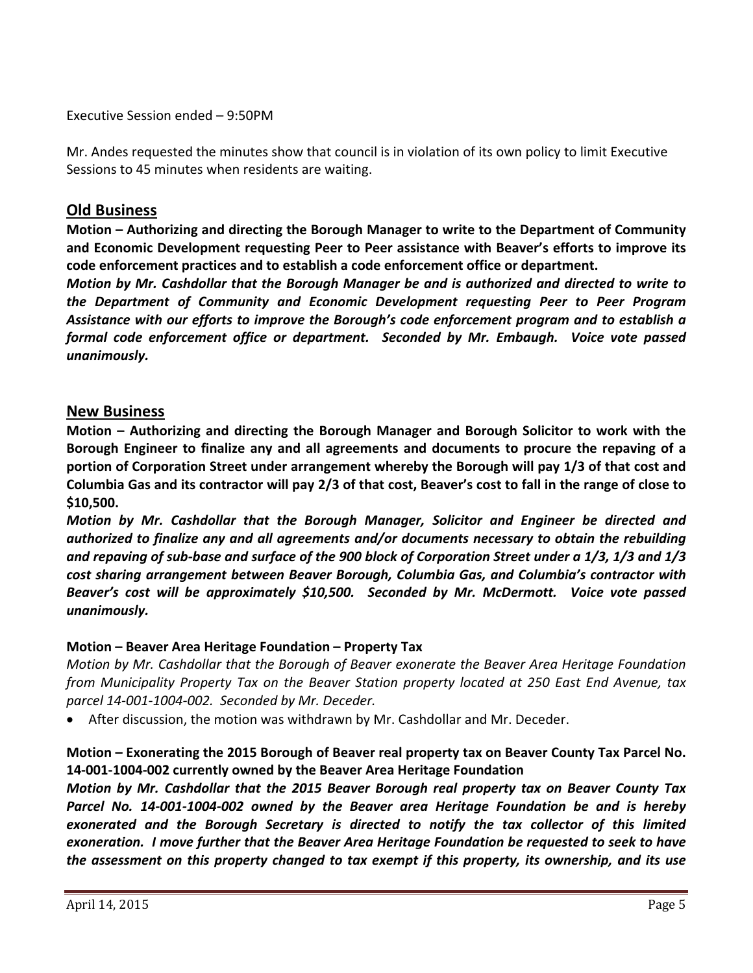Executive Session ended – 9:50PM

Mr. Andes requested the minutes show that council is in violation of its own policy to limit Executive Sessions to 45 minutes when residents are waiting.

## **Old Business**

**Motion – Authorizing and directing the Borough Manager to write to the Department of Community and Economic Development requesting Peer to Peer assistance with Beaver's efforts to improve its code enforcement practices and to establish a code enforcement office or department.**

*Motion by Mr. Cashdollar that the Borough Manager be and is authorized and directed to write to the Department of Community and Economic Development requesting Peer to Peer Program Assistance with our efforts to improve the Borough's code enforcement program and to establish a formal code enforcement office or department. Seconded by Mr. Embaugh. Voice vote passed unanimously.* 

## **New Business**

**Motion – Authorizing and directing the Borough Manager and Borough Solicitor to work with the Borough Engineer to finalize any and all agreements and documents to procure the repaving of a portion of Corporation Street under arrangement whereby the Borough will pay 1/3 of that cost and** Columbia Gas and its contractor will pay 2/3 of that cost, Beaver's cost to fall in the range of close to **\$10,500.**

*Motion by Mr. Cashdollar that the Borough Manager, Solicitor and Engineer be directed and authorized to finalize any and all agreements and/or documents necessary to obtain the rebuilding* and repaving of sub-base and surface of the 900 block of Corporation Street under a  $1/3$ ,  $1/3$  and  $1/3$ *cost sharing arrangement between Beaver Borough, Columbia Gas, and Columbia's contractor with Beaver's cost will be approximately \$10,500. Seconded by Mr. McDermott. Voice vote passed unanimously.*

### **Motion – Beaver Area Heritage Foundation – Property Tax**

*Motion by Mr. Cashdollar that the Borough of Beaver exonerate the Beaver Area Heritage Foundation from Municipality Property Tax on the Beaver Station property located at 250 East End Avenue, tax parcel 14‐001‐1004‐002. Seconded by Mr. Deceder.* 

After discussion, the motion was withdrawn by Mr. Cashdollar and Mr. Deceder.

## **Motion – Exonerating the 2015 Borough of Beaver real property tax on Beaver County Tax Parcel No. 14‐001‐1004‐002 currently owned by the Beaver Area Heritage Foundation**

*Motion by Mr. Cashdollar that the 2015 Beaver Borough real property tax on Beaver County Tax* Parcel No. 14-001-1004-002 owned by the Beaver area Heritage Foundation be and is hereby *exonerated and the Borough Secretary is directed to notify the tax collector of this limited exoneration. I move further that the Beaver Area Heritage Foundation be requested to seek to have the assessment on this property changed to tax exempt if this property, its ownership, and its use*